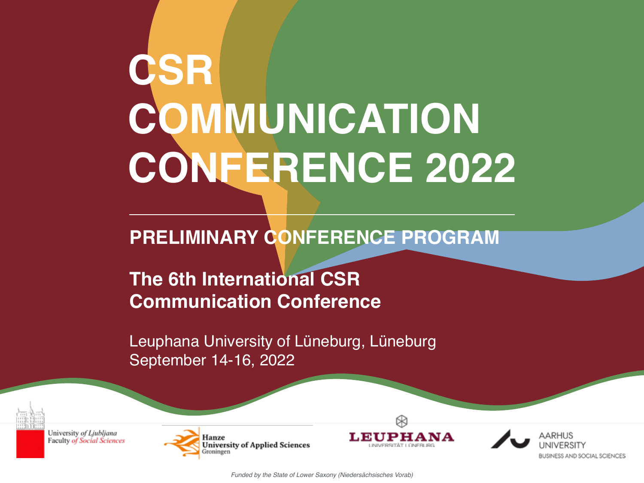# **CSR COMMUNICATION CONFERENCE 2022**

# **PRELIMINARY CONFERENCE PROGRAM**

# **The 6th International CSR Communication Conference**

Leuphana University of Lüneburg, Lüneburg September 14-16, 2022



University of Ljubljana **Faculty of Social Sciences** 





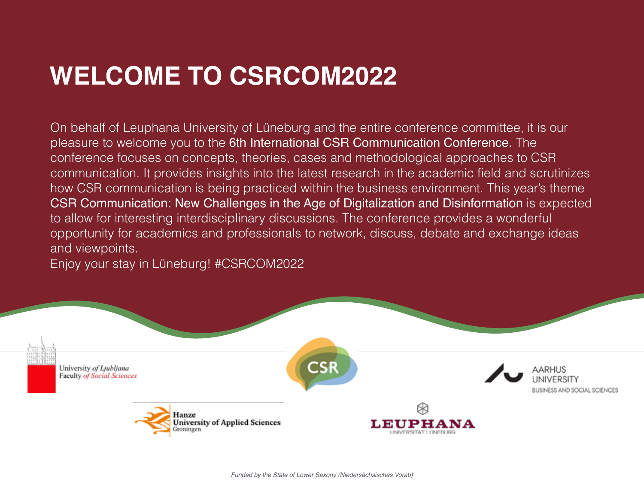# **WELCOME TO CSRCOM2022**

On behalf of Leuphana University of Lüneburg and the entire conference committee, it is our pleasure to welcome you to the 6th International CSR Communication Conference. The conference focuses on concepts, theories, cases and methodological approaches to CSR communication. It provides insights into the latest research in the academic field and scrutinizes how CSR communication is being practiced within the business environment. This year's theme CSR Communication: New Challenges in the Age of Digitalization and Disinformation is expected to allow for interesting interdisciplinary discussions. The conference provides a wonderful opportunity for academics and professionals to network, discuss, debate and exchange ideas and viewpoints.

Enjoy your stay in Lüneburg! #CSRCOM2022

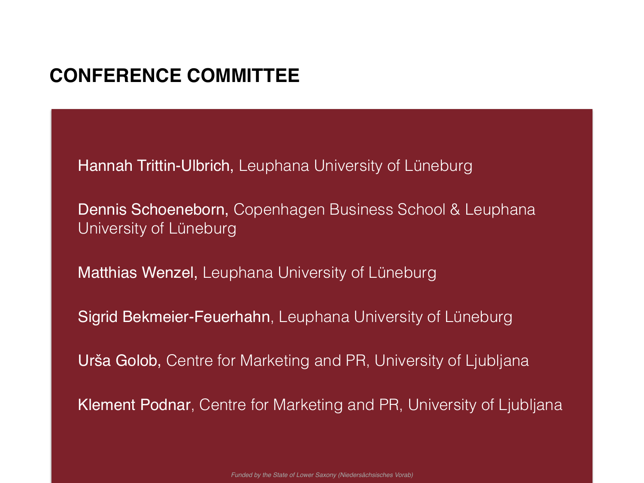## **CONFERENCE COMMITTEE**

[Hannah Trittin-Ulbrich,](https://www.leuphana.de/institute/imo/personen/hannah-trittin-ulbrich.html) Leuphana University of Lüneburg

[Dennis Schoeneborn,](https://www.cbs.dk/en/research/departments-and-centres/department-of-management-society-and-communication/staff/dsmsc) Copenhagen Business School & Leuphana University of Lüneburg

[Matthias Wenzel](https://www.leuphana.de/institute/imo/personen/matthias-wenzel.html), Leuphana University of Lüneburg

[Sigrid Bekmeier-Feuerhahn](http://fox.leuphana.de/portal/de/persons/sigrid-bekmeierfeuerhahn(61c4ea44-2be1-4041-afd0-e69f98e4b4e3).html), Leuphana University of Lüneburg

Urš[a Golob](http://www.fdv.uni-lj.si/en/news-and-information/contacts/teachers/info/ursa-golob), Centre for Marketing and PR, University of Ljubljana

[Klement Podnar](http://www.fdv.uni-lj.si/en/news-and-information/contacts/teachers/info/klement-podnar), Centre for Marketing and PR, University of Ljubljana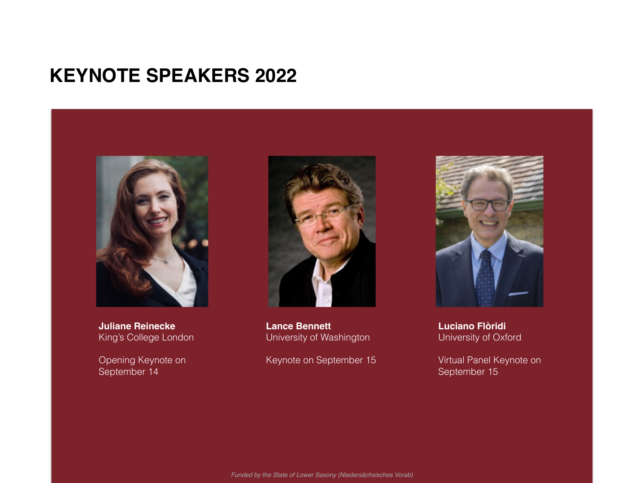### **KEYNOTE SPEAKERS 2022**



**Juliane Reinecke** King's College London

Opening Keynote on September 14



**Lance Bennett** University of Washington

Keynote on September 15



**Luciano Flòridi**  University of Oxford

Virtual Panel Keynote on September 15

*Funded by the State of Lower Saxony (Niedersächsisches Vorab)*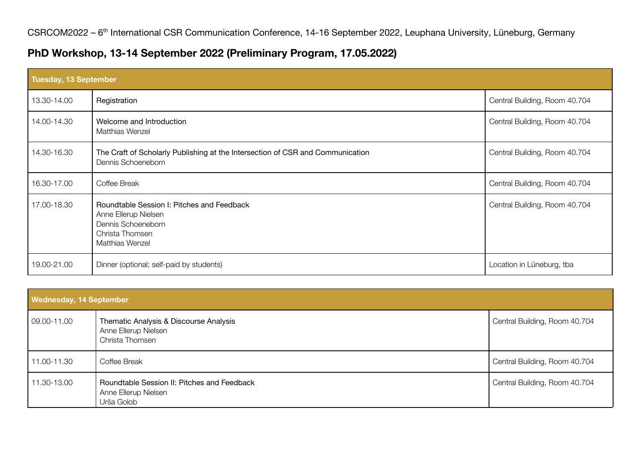#### **PhD Workshop, 13-14 September 2022 (Preliminary Program, 17.05.2022)**

| Tuesday, 13 September |                                                                                                                                       |                               |
|-----------------------|---------------------------------------------------------------------------------------------------------------------------------------|-------------------------------|
| 13.30-14.00           | Registration                                                                                                                          | Central Building, Room 40.704 |
| 14.00-14.30           | Welcome and Introduction<br><b>Matthias Wenzel</b>                                                                                    | Central Building, Room 40.704 |
| 14.30-16.30           | The Craft of Scholarly Publishing at the Intersection of CSR and Communication<br>Dennis Schoeneborn                                  | Central Building, Room 40.704 |
| 16.30-17.00           | Coffee Break                                                                                                                          | Central Building, Room 40.704 |
| 17.00-18.30           | Roundtable Session I: Pitches and Feedback<br>Anne Ellerup Nielsen<br>Dennis Schoeneborn<br>Christa Thomsen<br><b>Matthias Wenzel</b> | Central Building, Room 40.704 |
| 19.00-21.00           | Dinner (optional; self-paid by students)                                                                                              | Location in Lüneburg, tba     |

| <b>Wednesday, 14 September</b> |                                                                                   |                               |
|--------------------------------|-----------------------------------------------------------------------------------|-------------------------------|
| 09.00-11.00                    | Thematic Analysis & Discourse Analysis<br>Anne Ellerup Nielsen<br>Christa Thomsen | Central Building, Room 40.704 |
| 11.00-11.30                    | Coffee Break                                                                      | Central Building, Room 40.704 |
| 11.30-13.00                    | Roundtable Session II: Pitches and Feedback<br>Anne Ellerup Nielsen<br>Urša Golob | Central Building, Room 40.704 |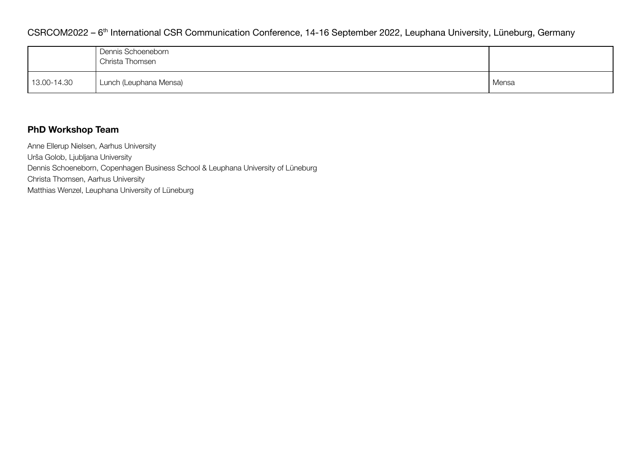#### CSRCOM2022 - 6<sup>th</sup> International CSR Communication Conference, 14-16 September 2022, Leuphana University, Lüneburg, Germany

|             | Dennis Schoeneborn<br>Christa Thomsen |       |
|-------------|---------------------------------------|-------|
| 13.00-14.30 | Lunch (Leuphana Mensa)                | Mensa |

#### **PhD Workshop Team**

Anne Ellerup Nielsen, Aarhus University Urša Golob, Ljubljana University Dennis Schoeneborn, Copenhagen Business School & Leuphana University of Lüneburg Christa Thomsen, Aarhus University

Matthias Wenzel, Leuphana University of Lüneburg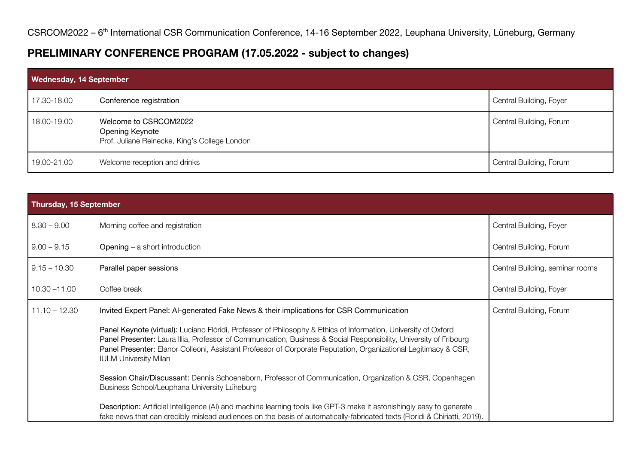#### **PRELIMINARY CONFERENCE PROGRAM (17.05.2022 - subject to changes)**

| Wednesday, 14 September |                                                                                           |                         |
|-------------------------|-------------------------------------------------------------------------------------------|-------------------------|
| 17.30-18.00             | Conference registration                                                                   | Central Building, Foyer |
| 18.00-19.00             | Welcome to CSRCOM2022<br>Opening Keynote<br>Prof. Juliane Reinecke, King's College London | Central Building, Forum |
| 19.00-21.00             | Welcome reception and drinks                                                              | Central Building, Forum |

| Thursday, 15 September |                                                                                                                                                                                                                                                                                                                                                                                          |                                 |
|------------------------|------------------------------------------------------------------------------------------------------------------------------------------------------------------------------------------------------------------------------------------------------------------------------------------------------------------------------------------------------------------------------------------|---------------------------------|
| $8.30 - 9.00$          | Morning coffee and registration                                                                                                                                                                                                                                                                                                                                                          | Central Building, Foyer         |
| $9.00 - 9.15$          | Opening - a short introduction                                                                                                                                                                                                                                                                                                                                                           | Central Building, Forum         |
| $9.15 - 10.30$         | Parallel paper sessions                                                                                                                                                                                                                                                                                                                                                                  | Central Building, seminar rooms |
| $10.30 - 11.00$        | Coffee break                                                                                                                                                                                                                                                                                                                                                                             | Central Building, Foyer         |
| $11.10 - 12.30$        | Invited Expert Panel: Al-generated Fake News & their implications for CSR Communication                                                                                                                                                                                                                                                                                                  | Central Building, Forum         |
|                        | Panel Keynote (virtual): Luciano Flòridi, Professor of Philosophy & Ethics of Information, University of Oxford<br>Panel Presenter: Laura Illia, Professor of Communication, Business & Social Responsibility, University of Fribourg<br>Panel Presenter: Elanor Colleoni, Assistant Professor of Corporate Reputation, Organizational Legitimacy & CSR,<br><b>IULM University Milan</b> |                                 |
|                        | Session Chair/Discussant: Dennis Schoeneborn, Professor of Communication, Organization & CSR, Copenhagen<br>Business School/Leuphana University Luneburg                                                                                                                                                                                                                                 |                                 |
|                        | Description: Artificial Intelligence (AI) and machine learning tools like GPT-3 make it astonishingly easy to generate<br>fake news that can credibly mislead audiences on the basis of automatically-fabricated texts (Floridi & Chiriatti, 2019).                                                                                                                                      |                                 |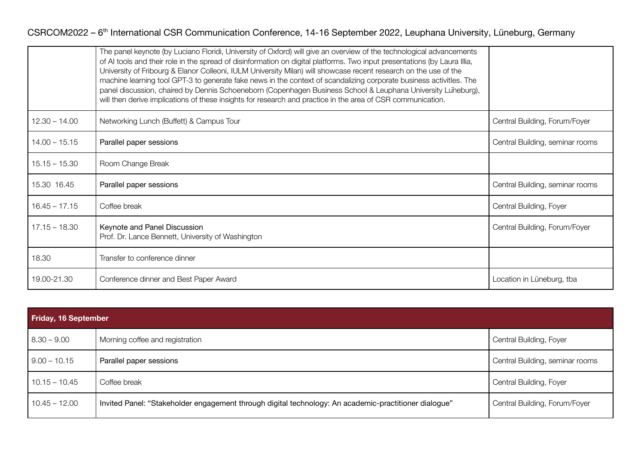#### CSRCOM2022 - 6<sup>th</sup> International CSR Communication Conference, 14-16 September 2022, Leuphana University, Lüneburg, Germany

|                 | The panel keynote (by Luciano Floridi, University of Oxford) will give an overview of the technological advancements<br>of AI tools and their role in the spread of disinformation on digital platforms. Two input presentations (by Laura Illia,<br>University of Fribourg & Elanor Colleoni, IULM University Milan) will showcase recent research on the use of the<br>machine learning tool GPT-3 to generate fake news in the context of scandalizing corporate business activities. The<br>panel discussion, chaired by Dennis Schoeneborn (Copenhagen Business School & Leuphana University Luneburg),<br>will then derive implications of these insights for research and practice in the area of CSR communication. |                                 |
|-----------------|-----------------------------------------------------------------------------------------------------------------------------------------------------------------------------------------------------------------------------------------------------------------------------------------------------------------------------------------------------------------------------------------------------------------------------------------------------------------------------------------------------------------------------------------------------------------------------------------------------------------------------------------------------------------------------------------------------------------------------|---------------------------------|
| $12.30 - 14.00$ | Networking Lunch (Buffett) & Campus Tour                                                                                                                                                                                                                                                                                                                                                                                                                                                                                                                                                                                                                                                                                    | Central Building, Forum/Foyer   |
| $14.00 - 15.15$ | Parallel paper sessions                                                                                                                                                                                                                                                                                                                                                                                                                                                                                                                                                                                                                                                                                                     | Central Building, seminar rooms |
| $15.15 - 15.30$ | Room Change Break                                                                                                                                                                                                                                                                                                                                                                                                                                                                                                                                                                                                                                                                                                           |                                 |
| 15.30 16.45     | Parallel paper sessions                                                                                                                                                                                                                                                                                                                                                                                                                                                                                                                                                                                                                                                                                                     | Central Building, seminar rooms |
| $16.45 - 17.15$ | Coffee break                                                                                                                                                                                                                                                                                                                                                                                                                                                                                                                                                                                                                                                                                                                | Central Building, Foyer         |
| $17.15 - 18.30$ | Keynote and Panel Discussion<br>Prof. Dr. Lance Bennett, University of Washington                                                                                                                                                                                                                                                                                                                                                                                                                                                                                                                                                                                                                                           | Central Building, Forum/Foyer   |
| 18.30           | Transfer to conference dinner                                                                                                                                                                                                                                                                                                                                                                                                                                                                                                                                                                                                                                                                                               |                                 |
| 19.00-21.30     | Conference dinner and Best Paper Award                                                                                                                                                                                                                                                                                                                                                                                                                                                                                                                                                                                                                                                                                      | Location in Lüneburg, tba       |

| Friday, 16 September |                                                                                                       |                                 |
|----------------------|-------------------------------------------------------------------------------------------------------|---------------------------------|
| $8.30 - 9.00$        | Morning coffee and registration                                                                       | Central Building, Foyer         |
| $9.00 - 10.15$       | Parallel paper sessions                                                                               | Central Building, seminar rooms |
| $10.15 - 10.45$      | Coffee break                                                                                          | Central Building, Foyer         |
| $10.45 - 12.00$      | Invited Panel: "Stakeholder engagement through digital technology: An academic-practitioner dialogue" | Central Building, Forum/Foyer   |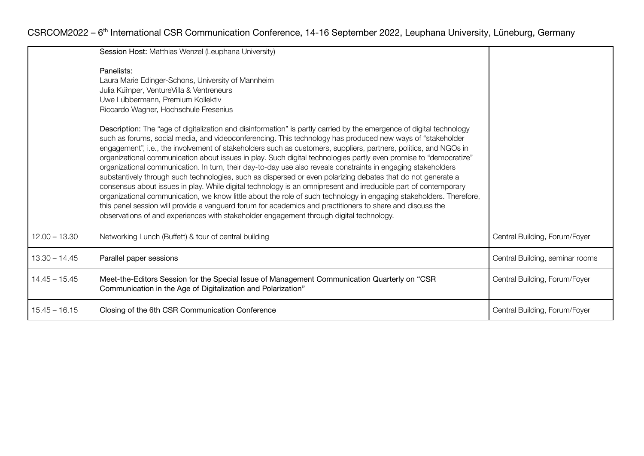|                 | Session Host: Matthias Wenzel (Leuphana University)                                                                                                                                                                                                                                                                                                                                                                                                                                                                                                                                                                                                                                                                                                                                                                                                                                                                                                                                                                                                                                                                                                            |                                 |
|-----------------|----------------------------------------------------------------------------------------------------------------------------------------------------------------------------------------------------------------------------------------------------------------------------------------------------------------------------------------------------------------------------------------------------------------------------------------------------------------------------------------------------------------------------------------------------------------------------------------------------------------------------------------------------------------------------------------------------------------------------------------------------------------------------------------------------------------------------------------------------------------------------------------------------------------------------------------------------------------------------------------------------------------------------------------------------------------------------------------------------------------------------------------------------------------|---------------------------------|
|                 | Panelists:<br>Laura Marie Edinger-Schons, University of Mannheim<br>Julia Kumper, VentureVilla & Ventreneurs<br>Uwe Lubbermann, Premium Kollektiv<br>Riccardo Wagner, Hochschule Fresenius                                                                                                                                                                                                                                                                                                                                                                                                                                                                                                                                                                                                                                                                                                                                                                                                                                                                                                                                                                     |                                 |
|                 | Description: The "age of digitalization and disinformation" is partly carried by the emergence of digital technology<br>such as forums, social media, and videoconferencing. This technology has produced new ways of "stakeholder<br>engagement", i.e., the involvement of stakeholders such as customers, suppliers, partners, politics, and NGOs in<br>organizational communication about issues in play. Such digital technologies partly even promise to "democratize"<br>organizational communication. In turn, their day-to-day use also reveals constraints in engaging stakeholders<br>substantively through such technologies, such as dispersed or even polarizing debates that do not generate a<br>consensus about issues in play. While digital technology is an omnipresent and irreducible part of contemporary<br>organizational communication, we know little about the role of such technology in engaging stakeholders. Therefore,<br>this panel session will provide a vanguard forum for academics and practitioners to share and discuss the<br>observations of and experiences with stakeholder engagement through digital technology. |                                 |
| $12.00 - 13.30$ | Networking Lunch (Buffett) & tour of central building                                                                                                                                                                                                                                                                                                                                                                                                                                                                                                                                                                                                                                                                                                                                                                                                                                                                                                                                                                                                                                                                                                          | Central Building, Forum/Foyer   |
| $13.30 - 14.45$ | Parallel paper sessions                                                                                                                                                                                                                                                                                                                                                                                                                                                                                                                                                                                                                                                                                                                                                                                                                                                                                                                                                                                                                                                                                                                                        | Central Building, seminar rooms |
| $14.45 - 15.45$ | Meet-the-Editors Session for the Special Issue of Management Communication Quarterly on "CSR<br>Communication in the Age of Digitalization and Polarization"                                                                                                                                                                                                                                                                                                                                                                                                                                                                                                                                                                                                                                                                                                                                                                                                                                                                                                                                                                                                   | Central Building, Forum/Foyer   |
| $15.45 - 16.15$ | Closing of the 6th CSR Communication Conference                                                                                                                                                                                                                                                                                                                                                                                                                                                                                                                                                                                                                                                                                                                                                                                                                                                                                                                                                                                                                                                                                                                | Central Building, Forum/Foyer   |